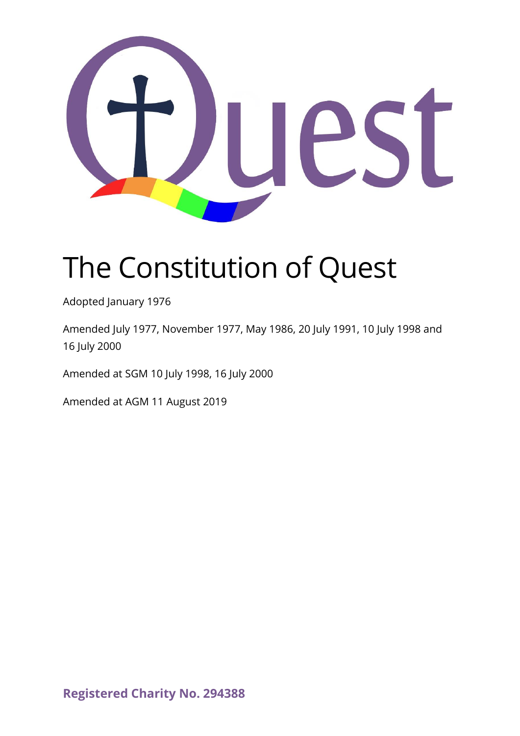

# The Constitution of Quest

Adopted January 1976

Amended July 1977, November 1977, May 1986, 20 July 1991, 10 July 1998 and 16 July 2000

Amended at SGM 10 July 1998, 16 July 2000

Amended at AGM 11 August 2019

**Registered Charity No. 294388**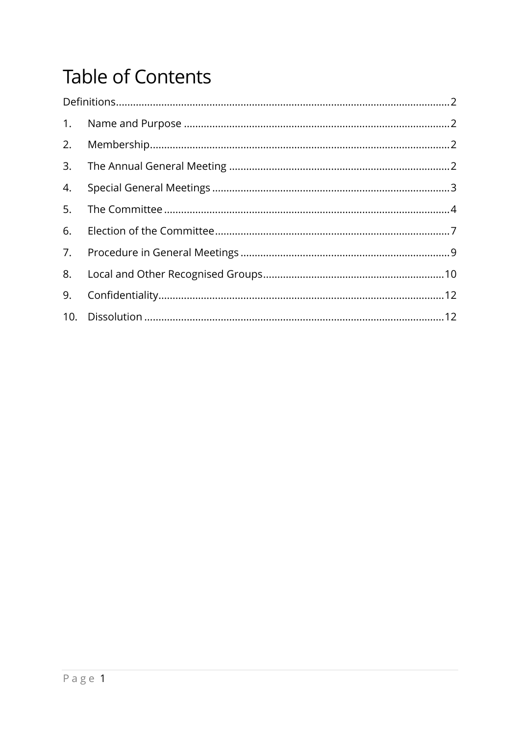# **Table of Contents**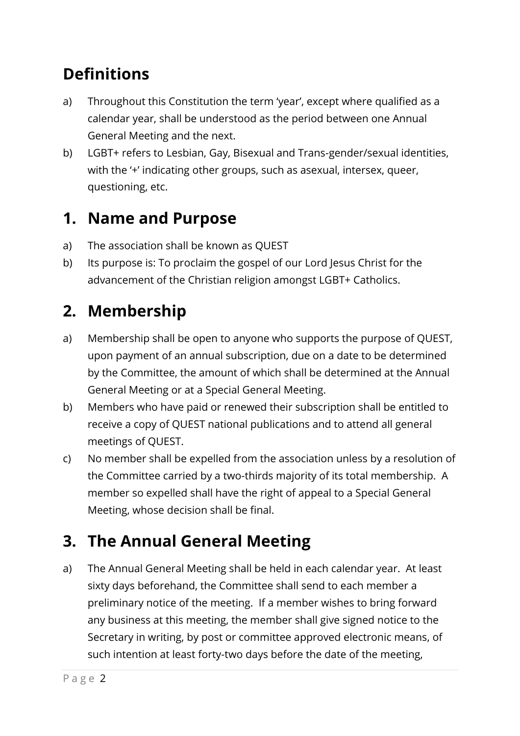## <span id="page-2-0"></span>**Definitions**

- a) Throughout this Constitution the term 'year', except where qualified as a calendar year, shall be understood as the period between one Annual General Meeting and the next.
- b) LGBT+ refers to Lesbian, Gay, Bisexual and Trans-gender/sexual identities, with the '+' indicating other groups, such as asexual, intersex, queer, questioning, etc.

#### <span id="page-2-1"></span>**1. Name and Purpose**

- a) The association shall be known as QUEST
- <span id="page-2-5"></span>b) Its purpose is: To proclaim the gospel of our Lord Jesus Christ for the advancement of the Christian religion amongst LGBT+ Catholics.

## <span id="page-2-2"></span>**2. Membership**

- a) Membership shall be open to anyone who supports the purpose of QUEST, upon payment of an annual subscription, due on a date to be determined by the Committee, the amount of which shall be determined at the Annual General Meeting or at a Special General Meeting.
- b) Members who have paid or renewed their subscription shall be entitled to receive a copy of QUEST national publications and to attend all general meetings of QUEST.
- <span id="page-2-4"></span>c) No member shall be expelled from the association unless by a resolution of the Committee carried by a two-thirds majority of its total membership. A member so expelled shall have the right of appeal to a Special General Meeting, whose decision shall be final.

# <span id="page-2-3"></span>**3. The Annual General Meeting**

a) The Annual General Meeting shall be held in each calendar year. At least sixty days beforehand, the Committee shall send to each member a preliminary notice of the meeting. If a member wishes to bring forward any business at this meeting, the member shall give signed notice to the Secretary in writing, by post or committee approved electronic means, of such intention at least forty-two days before the date of the meeting,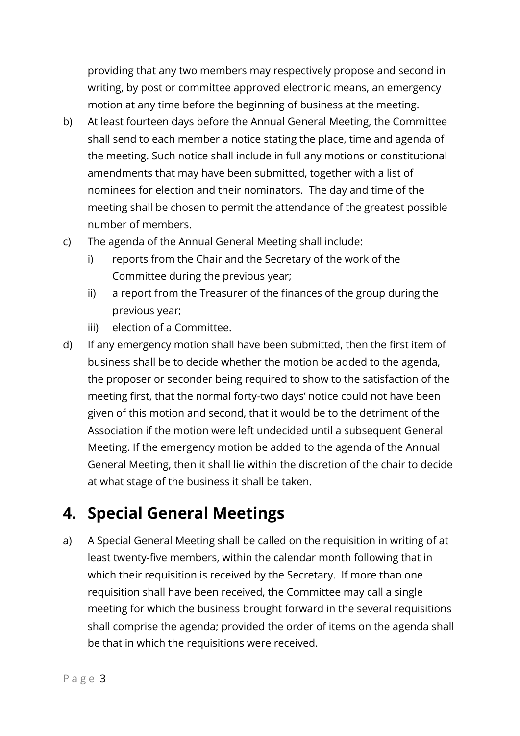providing that any two members may respectively propose and second in writing, by post or committee approved electronic means, an emergency motion at any time before the beginning of business at the meeting.

- b) At least fourteen days before the Annual General Meeting, the Committee shall send to each member a notice stating the place, time and agenda of the meeting. Such notice shall include in full any motions or constitutional amendments that may have been submitted, together with a list of nominees for election and their nominators. The day and time of the meeting shall be chosen to permit the attendance of the greatest possible number of members.
- c) The agenda of the Annual General Meeting shall include:
	- i) reports from the Chair and the Secretary of the work of the Committee during the previous year;
	- ii) a report from the Treasurer of the finances of the group during the previous year;
	- iii) election of a Committee.
- d) If any emergency motion shall have been submitted, then the first item of business shall be to decide whether the motion be added to the agenda, the proposer or seconder being required to show to the satisfaction of the meeting first, that the normal forty-two days' notice could not have been given of this motion and second, that it would be to the detriment of the Association if the motion were left undecided until a subsequent General Meeting. If the emergency motion be added to the agenda of the Annual General Meeting, then it shall lie within the discretion of the chair to decide at what stage of the business it shall be taken.

#### <span id="page-3-0"></span>**4. Special General Meetings**

a) A Special General Meeting shall be called on the requisition in writing of at least twenty-five members, within the calendar month following that in which their requisition is received by the Secretary. If more than one requisition shall have been received, the Committee may call a single meeting for which the business brought forward in the several requisitions shall comprise the agenda; provided the order of items on the agenda shall be that in which the requisitions were received.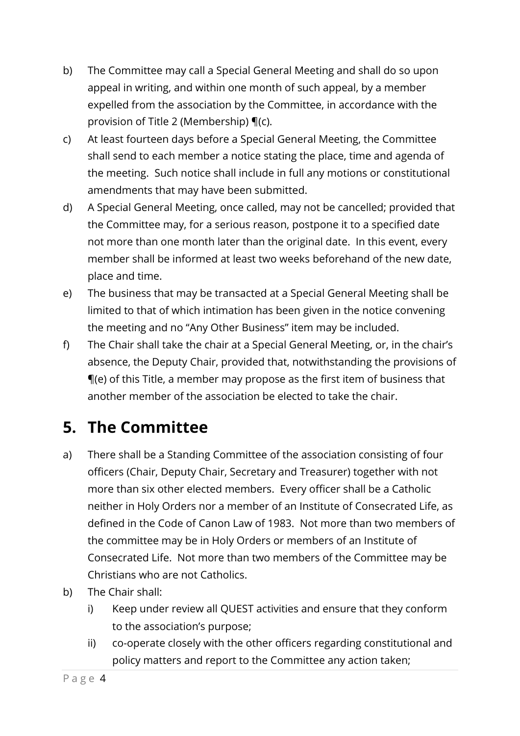- b) The Committee may call a Special General Meeting and shall do so upon appeal in writing, and within one month of such appeal, by a member expelled from the association by the Committee, in accordance with the provision of Title [2](#page-2-2) [\(Membership\)](#page-2-2) ¶[\(c\).](#page-2-4)
- c) At least fourteen days before a Special General Meeting, the Committee shall send to each member a notice stating the place, time and agenda of the meeting. Such notice shall include in full any motions or constitutional amendments that may have been submitted.
- d) A Special General Meeting, once called, may not be cancelled; provided that the Committee may, for a serious reason, postpone it to a specified date not more than one month later than the original date. In this event, every member shall be informed at least two weeks beforehand of the new date, place and time.
- <span id="page-4-1"></span>e) The business that may be transacted at a Special General Meeting shall be limited to that of which intimation has been given in the notice convening the meeting and no "Any Other Business" item may be included.
- f) The Chair shall take the chair at a Special General Meeting, or, in the chair's absence, the Deputy Chair, provided that, notwithstanding the provisions of ¶[\(e\)](#page-4-1) of this Title, a member may propose as the first item of business that another member of the association be elected to take the chair.

# <span id="page-4-0"></span>**5. The Committee**

- a) There shall be a Standing Committee of the association consisting of four officers (Chair, Deputy Chair, Secretary and Treasurer) together with not more than six other elected members. Every officer shall be a Catholic neither in Holy Orders nor a member of an Institute of Consecrated Life, as defined in the Code of Canon Law of 1983. Not more than two members of the committee may be in Holy Orders or members of an Institute of Consecrated Life. Not more than two members of the Committee may be Christians who are not Catholics.
- b) The Chair shall:
	- i) Keep under review all QUEST activities and ensure that they conform to the association's purpose;
	- ii) co-operate closely with the other officers regarding constitutional and policy matters and report to the Committee any action taken;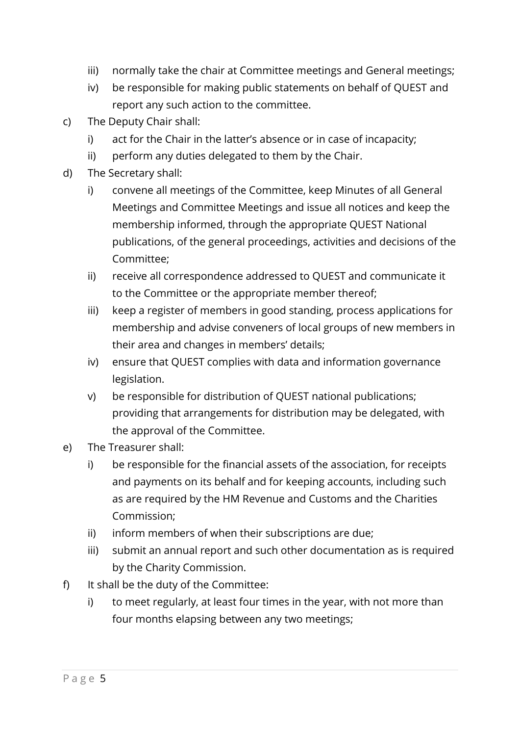- iii) normally take the chair at Committee meetings and General meetings;
- iv) be responsible for making public statements on behalf of QUEST and report any such action to the committee.
- c) The Deputy Chair shall:
	- i) act for the Chair in the latter's absence or in case of incapacity;
	- ii) perform any duties delegated to them by the Chair.
- d) The Secretary shall:
	- i) convene all meetings of the Committee, keep Minutes of all General Meetings and Committee Meetings and issue all notices and keep the membership informed, through the appropriate QUEST National publications, of the general proceedings, activities and decisions of the Committee;
	- ii) receive all correspondence addressed to QUEST and communicate it to the Committee or the appropriate member thereof;
	- iii) keep a register of members in good standing, process applications for membership and advise conveners of local groups of new members in their area and changes in members' details;
	- iv) ensure that QUEST complies with data and information governance legislation.
	- v) be responsible for distribution of QUEST national publications; providing that arrangements for distribution may be delegated, with the approval of the Committee.
- e) The Treasurer shall:
	- i) be responsible for the financial assets of the association, for receipts and payments on its behalf and for keeping accounts, including such as are required by the HM Revenue and Customs and the Charities Commission;
	- ii) inform members of when their subscriptions are due;
	- iii) submit an annual report and such other documentation as is required by the Charity Commission.
- f) It shall be the duty of the Committee:
	- i) to meet regularly, at least four times in the year, with not more than four months elapsing between any two meetings;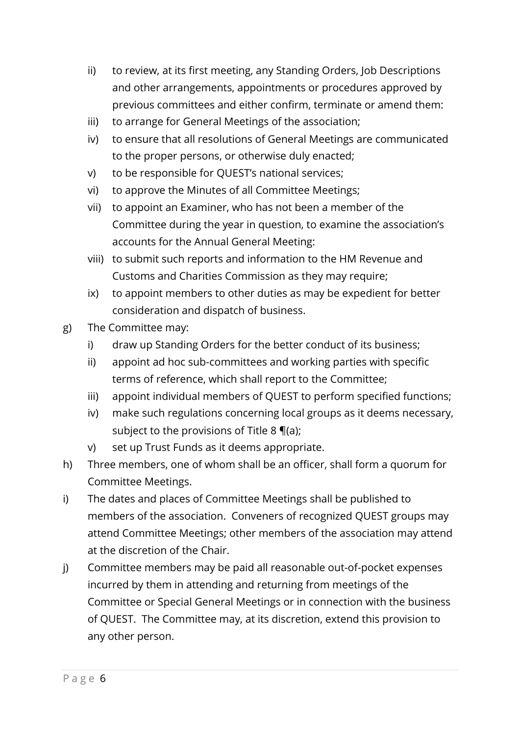- ii) to review, at its first meeting, any Standing Orders, Job Descriptions and other arrangements, appointments or procedures approved by previous committees and either confirm, terminate or amend them:
- iii) to arrange for General Meetings of the association;
- iv) to ensure that all resolutions of General Meetings are communicated to the proper persons, or otherwise duly enacted;
- v) to be responsible for QUEST's national services;
- vi) to approve the Minutes of all Committee Meetings;
- vii) to appoint an Examiner, who has not been a member of the Committee during the year in question, to examine the association's accounts for the Annual General Meeting:
- viii) to submit such reports and information to the HM Revenue and Customs and Charities Commission as they may require;
- ix) to appoint members to other duties as may be expedient for better consideration and dispatch of business.
- g) The Committee may:
	- i) draw up Standing Orders for the better conduct of its business;
	- ii) appoint ad hoc sub-committees and working parties with specific terms of reference, which shall report to the Committee;
	- iii) appoint individual members of QUEST to perform specified functions;
	- iv) make such regulations concerning local groups as it deems necessary, subject to the provisions of Title [8](#page-10-0)  $\P$ [\(a\);](#page-10-1)
	- v) set up Trust Funds as it deems appropriate.
- h) Three members, one of whom shall be an officer, shall form a quorum for Committee Meetings.
- i) The dates and places of Committee Meetings shall be published to members of the association. Conveners of recognized QUEST groups may attend Committee Meetings; other members of the association may attend at the discretion of the Chair.
- j) Committee members may be paid all reasonable out-of-pocket expenses incurred by them in attending and returning from meetings of the Committee or Special General Meetings or in connection with the business of QUEST. The Committee may, at its discretion, extend this provision to any other person.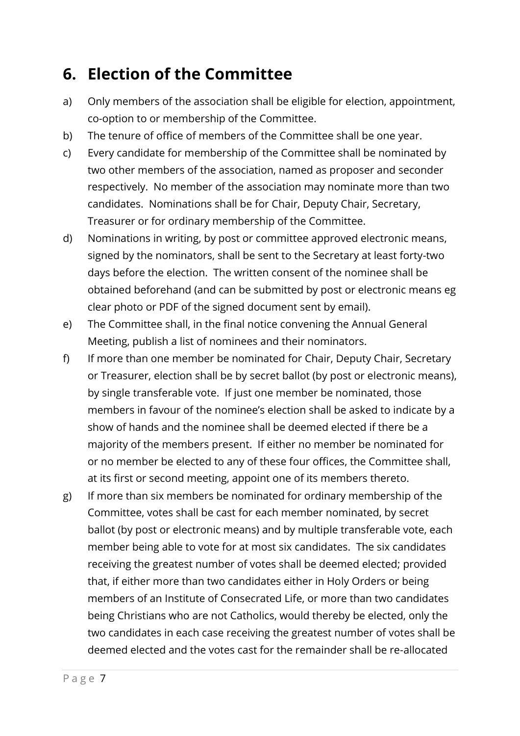#### <span id="page-7-0"></span>**6. Election of the Committee**

- a) Only members of the association shall be eligible for election, appointment, co-option to or membership of the Committee.
- b) The tenure of office of members of the Committee shall be one year.
- c) Every candidate for membership of the Committee shall be nominated by two other members of the association, named as proposer and seconder respectively. No member of the association may nominate more than two candidates. Nominations shall be for Chair, Deputy Chair, Secretary, Treasurer or for ordinary membership of the Committee.
- d) Nominations in writing, by post or committee approved electronic means, signed by the nominators, shall be sent to the Secretary at least forty-two days before the election. The written consent of the nominee shall be obtained beforehand (and can be submitted by post or electronic means eg clear photo or PDF of the signed document sent by email).
- e) The Committee shall, in the final notice convening the Annual General Meeting, publish a list of nominees and their nominators.
- f) If more than one member be nominated for Chair, Deputy Chair, Secretary or Treasurer, election shall be by secret ballot (by post or electronic means), by single transferable vote. If just one member be nominated, those members in favour of the nominee's election shall be asked to indicate by a show of hands and the nominee shall be deemed elected if there be a majority of the members present. If either no member be nominated for or no member be elected to any of these four offices, the Committee shall, at its first or second meeting, appoint one of its members thereto.
- g) If more than six members be nominated for ordinary membership of the Committee, votes shall be cast for each member nominated, by secret ballot (by post or electronic means) and by multiple transferable vote, each member being able to vote for at most six candidates. The six candidates receiving the greatest number of votes shall be deemed elected; provided that, if either more than two candidates either in Holy Orders or being members of an Institute of Consecrated Life, or more than two candidates being Christians who are not Catholics, would thereby be elected, only the two candidates in each case receiving the greatest number of votes shall be deemed elected and the votes cast for the remainder shall be re-allocated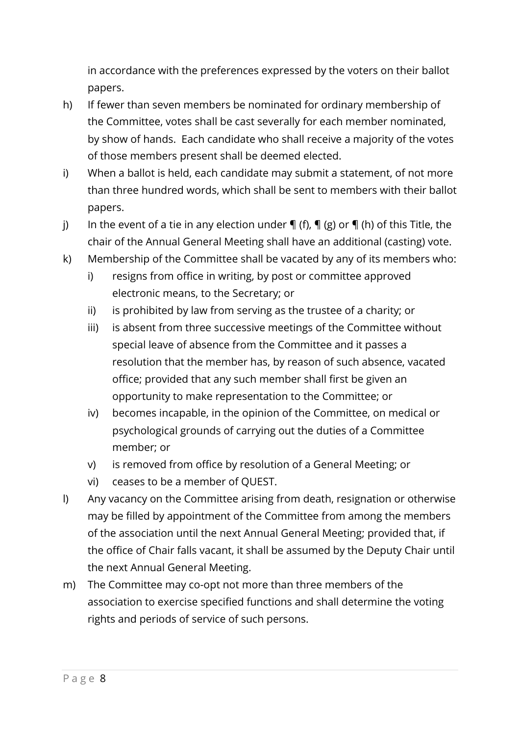in accordance with the preferences expressed by the voters on their ballot papers.

- h) If fewer than seven members be nominated for ordinary membership of the Committee, votes shall be cast severally for each member nominated, by show of hands. Each candidate who shall receive a majority of the votes of those members present shall be deemed elected.
- i) When a ballot is held, each candidate may submit a statement, of not more than three hundred words, which shall be sent to members with their ballot papers.
- j) In the event of a tie in any election under  $\P$  (f),  $\P$  (g) or  $\P$  (h) of this Title, the chair of the Annual General Meeting shall have an additional (casting) vote.
- k) Membership of the Committee shall be vacated by any of its members who:
	- i) resigns from office in writing, by post or committee approved electronic means, to the Secretary; or
	- ii) is prohibited by law from serving as the trustee of a charity; or
	- iii) is absent from three successive meetings of the Committee without special leave of absence from the Committee and it passes a resolution that the member has, by reason of such absence, vacated office; provided that any such member shall first be given an opportunity to make representation to the Committee; or
	- iv) becomes incapable, in the opinion of the Committee, on medical or psychological grounds of carrying out the duties of a Committee member; or
	- v) is removed from office by resolution of a General Meeting; or
	- vi) ceases to be a member of QUEST.
- l) Any vacancy on the Committee arising from death, resignation or otherwise may be filled by appointment of the Committee from among the members of the association until the next Annual General Meeting; provided that, if the office of Chair falls vacant, it shall be assumed by the Deputy Chair until the next Annual General Meeting.
- m) The Committee may co-opt not more than three members of the association to exercise specified functions and shall determine the voting rights and periods of service of such persons.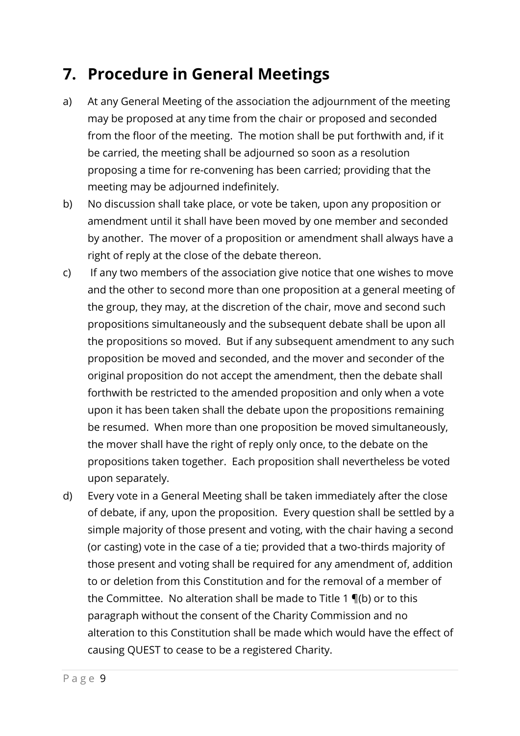#### <span id="page-9-0"></span>**7. Procedure in General Meetings**

- a) At any General Meeting of the association the adjournment of the meeting may be proposed at any time from the chair or proposed and seconded from the floor of the meeting. The motion shall be put forthwith and, if it be carried, the meeting shall be adjourned so soon as a resolution proposing a time for re-convening has been carried; providing that the meeting may be adjourned indefinitely.
- b) No discussion shall take place, or vote be taken, upon any proposition or amendment until it shall have been moved by one member and seconded by another. The mover of a proposition or amendment shall always have a right of reply at the close of the debate thereon.
- c) If any two members of the association give notice that one wishes to move and the other to second more than one proposition at a general meeting of the group, they may, at the discretion of the chair, move and second such propositions simultaneously and the subsequent debate shall be upon all the propositions so moved. But if any subsequent amendment to any such proposition be moved and seconded, and the mover and seconder of the original proposition do not accept the amendment, then the debate shall forthwith be restricted to the amended proposition and only when a vote upon it has been taken shall the debate upon the propositions remaining be resumed. When more than one proposition be moved simultaneously, the mover shall have the right of reply only once, to the debate on the propositions taken together. Each proposition shall nevertheless be voted upon separately.
- <span id="page-9-1"></span>d) Every vote in a General Meeting shall be taken immediately after the close of debate, if any, upon the proposition. Every question shall be settled by a simple majority of those present and voting, with the chair having a second (or casting) vote in the case of a tie; provided that a two-thirds majority of those present and voting shall be required for any amendment of, addition to or deletion from this Constitution and for the removal of a member of the Committee. No alteration shall be made to Title [1](#page-2-1) ¶[\(b\)](#page-2-5) or to this paragraph without the consent of the Charity Commission and no alteration to this Constitution shall be made which would have the effect of causing QUEST to cease to be a registered Charity.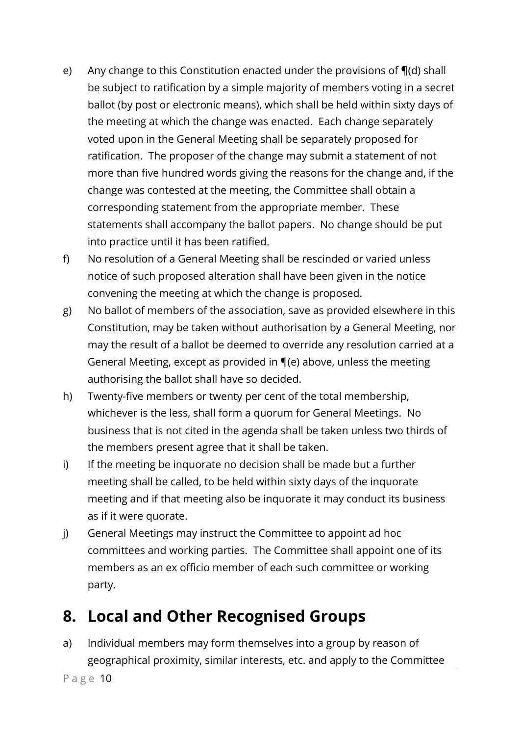- <span id="page-10-2"></span>e) Any change to this Constitution enacted under the provisions of ¶[\(d\)](#page-9-1) shall be subject to ratification by a simple majority of members voting in a secret ballot (by post or electronic means), which shall be held within sixty days of the meeting at which the change was enacted. Each change separately voted upon in the General Meeting shall be separately proposed for ratification. The proposer of the change may submit a statement of not more than five hundred words giving the reasons for the change and, if the change was contested at the meeting, the Committee shall obtain a corresponding statement from the appropriate member. These statements shall accompany the ballot papers. No change should be put into practice until it has been ratified.
- f) No resolution of a General Meeting shall be rescinded or varied unless notice of such proposed alteration shall have been given in the notice convening the meeting at which the change is proposed.
- g) No ballot of members of the association, save as provided elsewhere in this Constitution, may be taken without authorisation by a General Meeting, nor may the result of a ballot be deemed to override any resolution carried at a General Meeting, except as provided in ¶[\(e\)](#page-10-2) above, unless the meeting authorising the ballot shall have so decided.
- h) Twenty-five members or twenty per cent of the total membership, whichever is the less, shall form a quorum for General Meetings. No business that is not cited in the agenda shall be taken unless two thirds of the members present agree that it shall be taken.
- i) If the meeting be inquorate no decision shall be made but a further meeting shall be called, to be held within sixty days of the inquorate meeting and if that meeting also be inquorate it may conduct its business as if it were quorate.
- j) General Meetings may instruct the Committee to appoint ad hoc committees and working parties. The Committee shall appoint one of its members as an ex officio member of each such committee or working party.

#### <span id="page-10-0"></span>**8. Local and Other Recognised Groups**

<span id="page-10-1"></span>a) Individual members may form themselves into a group by reason of geographical proximity, similar interests, etc. and apply to the Committee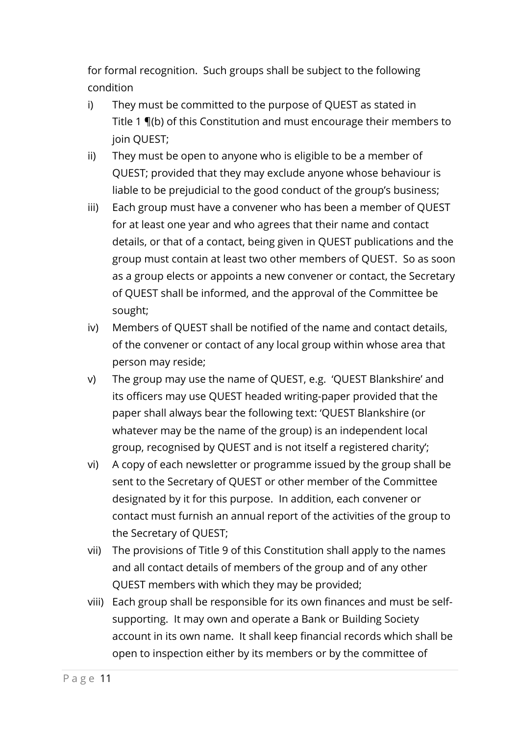for formal recognition. Such groups shall be subject to the following condition

- i) They must be committed to the purpose of QUEST as stated in Title [1](#page-2-1) ¶[\(b\)](#page-2-5) of this Constitution and must encourage their members to join QUEST;
- ii) They must be open to anyone who is eligible to be a member of QUEST; provided that they may exclude anyone whose behaviour is liable to be prejudicial to the good conduct of the group's business;
- iii) Each group must have a convener who has been a member of QUEST for at least one year and who agrees that their name and contact details, or that of a contact, being given in QUEST publications and the group must contain at least two other members of QUEST. So as soon as a group elects or appoints a new convener or contact, the Secretary of QUEST shall be informed, and the approval of the Committee be sought;
- iv) Members of QUEST shall be notified of the name and contact details, of the convener or contact of any local group within whose area that person may reside;
- v) The group may use the name of QUEST, e.g. 'QUEST Blankshire' and its officers may use QUEST headed writing-paper provided that the paper shall always bear the following text: 'QUEST Blankshire (or whatever may be the name of the group) is an independent local group, recognised by QUEST and is not itself a registered charity';
- vi) A copy of each newsletter or programme issued by the group shall be sent to the Secretary of QUEST or other member of the Committee designated by it for this purpose. In addition, each convener or contact must furnish an annual report of the activities of the group to the Secretary of QUEST;
- vii) The provisions of Title 9 of this Constitution shall apply to the names and all contact details of members of the group and of any other QUEST members with which they may be provided;
- viii) Each group shall be responsible for its own finances and must be selfsupporting. It may own and operate a Bank or Building Society account in its own name. It shall keep financial records which shall be open to inspection either by its members or by the committee of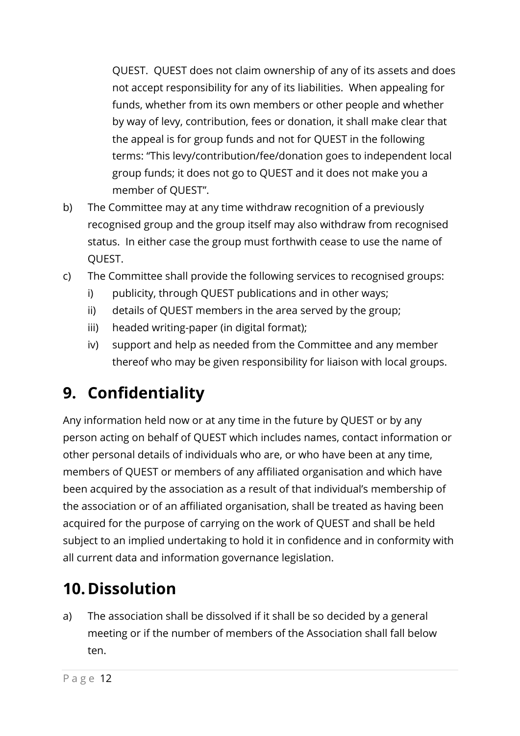QUEST. QUEST does not claim ownership of any of its assets and does not accept responsibility for any of its liabilities. When appealing for funds, whether from its own members or other people and whether by way of levy, contribution, fees or donation, it shall make clear that the appeal is for group funds and not for QUEST in the following terms: "This levy/contribution/fee/donation goes to independent local group funds; it does not go to QUEST and it does not make you a member of QUEST".

- b) The Committee may at any time withdraw recognition of a previously recognised group and the group itself may also withdraw from recognised status. In either case the group must forthwith cease to use the name of QUEST.
- c) The Committee shall provide the following services to recognised groups:
	- i) publicity, through QUEST publications and in other ways;
	- ii) details of QUEST members in the area served by the group;
	- iii) headed writing-paper (in digital format);
	- iv) support and help as needed from the Committee and any member thereof who may be given responsibility for liaison with local groups.

# <span id="page-12-0"></span>**9. Confidentiality**

Any information held now or at any time in the future by QUEST or by any person acting on behalf of QUEST which includes names, contact information or other personal details of individuals who are, or who have been at any time, members of QUEST or members of any affiliated organisation and which have been acquired by the association as a result of that individual's membership of the association or of an affiliated organisation, shall be treated as having been acquired for the purpose of carrying on the work of QUEST and shall be held subject to an implied undertaking to hold it in confidence and in conformity with all current data and information governance legislation.

# <span id="page-12-1"></span>**10.Dissolution**

a) The association shall be dissolved if it shall be so decided by a general meeting or if the number of members of the Association shall fall below ten.